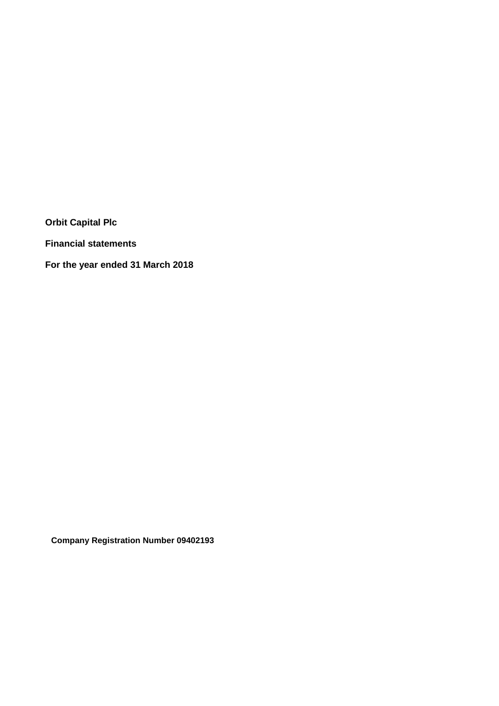**Financial statements**

**For the year ended 31 March 2018**

**Company Registration Number 09402193**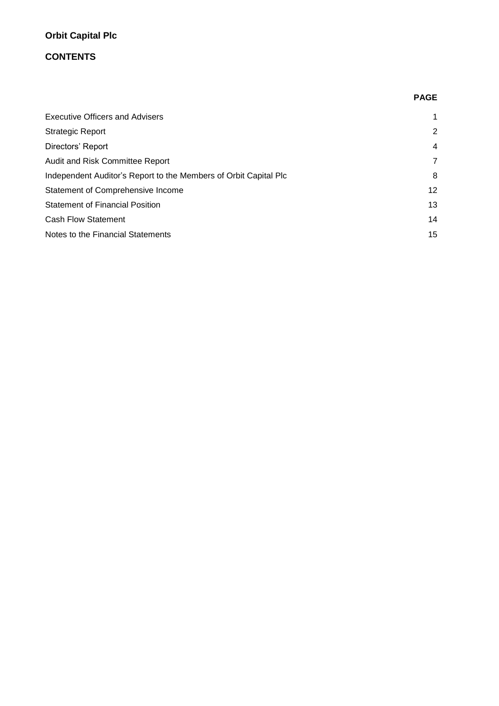# **CONTENTS**

|                                                                  | <b>PAGE</b>     |
|------------------------------------------------------------------|-----------------|
| <b>Executive Officers and Advisers</b>                           |                 |
| <b>Strategic Report</b>                                          | 2               |
| Directors' Report                                                | 4               |
| Audit and Risk Committee Report                                  | $\overline{7}$  |
| Independent Auditor's Report to the Members of Orbit Capital Plc | 8               |
| Statement of Comprehensive Income                                | 12 <sup>2</sup> |
| <b>Statement of Financial Position</b>                           | 13              |
| <b>Cash Flow Statement</b>                                       | 14              |
| Notes to the Financial Statements                                | 15              |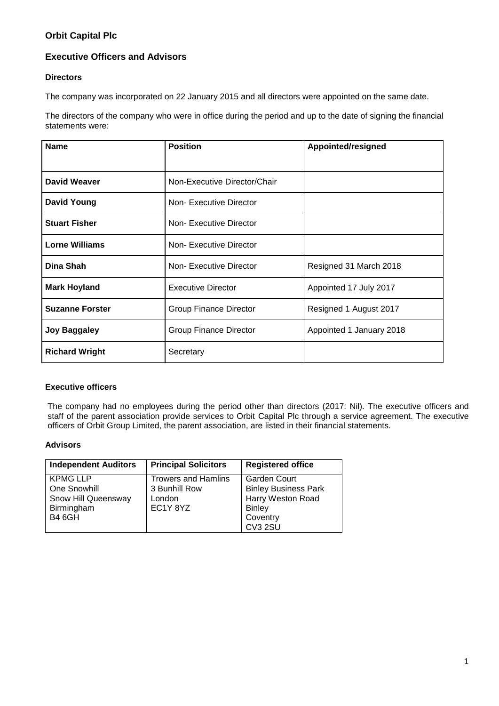# **Executive Officers and Advisors**

## **Directors**

The company was incorporated on 22 January 2015 and all directors were appointed on the same date.

The directors of the company who were in office during the period and up to the date of signing the financial statements were:

| <b>Name</b>            | <b>Position</b>               | Appointed/resigned       |
|------------------------|-------------------------------|--------------------------|
| <b>David Weaver</b>    | Non-Executive Director/Chair  |                          |
| <b>David Young</b>     | Non-Executive Director        |                          |
| <b>Stuart Fisher</b>   | Non-Executive Director        |                          |
| <b>Lorne Williams</b>  | Non-Executive Director        |                          |
| Dina Shah              | Non-Executive Director        | Resigned 31 March 2018   |
| <b>Mark Hoyland</b>    | <b>Executive Director</b>     | Appointed 17 July 2017   |
| <b>Suzanne Forster</b> | <b>Group Finance Director</b> | Resigned 1 August 2017   |
| <b>Joy Baggaley</b>    | <b>Group Finance Director</b> | Appointed 1 January 2018 |
| <b>Richard Wright</b>  | Secretary                     |                          |

## **Executive officers**

The company had no employees during the period other than directors (2017: Nil). The executive officers and staff of the parent association provide services to Orbit Capital Plc through a service agreement. The executive officers of Orbit Group Limited, the parent association, are listed in their financial statements.

## **Advisors**

| <b>Independent Auditors</b> | <b>Principal Solicitors</b> | <b>Registered office</b>    |
|-----------------------------|-----------------------------|-----------------------------|
| <b>KPMG LLP</b>             | <b>Trowers and Hamlins</b>  | <b>Garden Court</b>         |
| One Snowhill                | 3 Bunhill Row               | <b>Binley Business Park</b> |
| Snow Hill Queensway         | London                      | Harry Weston Road           |
| Birmingham                  | EC1Y8YZ                     | <b>Binley</b>               |
| <b>B4 6GH</b>               |                             | Coventry                    |
|                             |                             | CV3 2SU                     |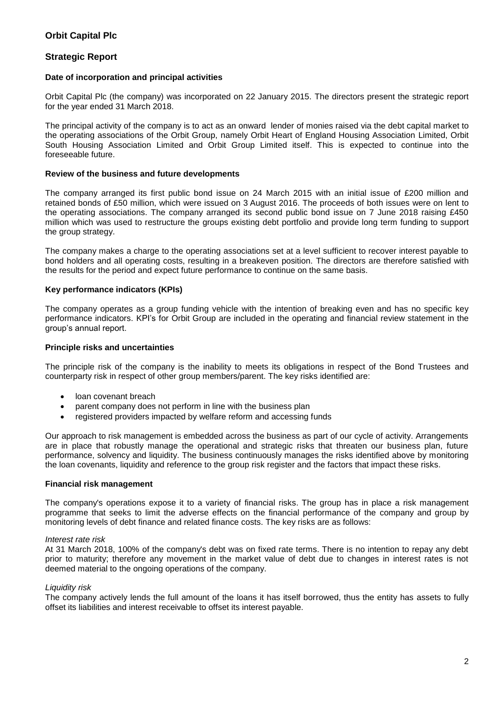## **Strategic Report**

## **Date of incorporation and principal activities**

Orbit Capital Plc (the company) was incorporated on 22 January 2015. The directors present the strategic report for the year ended 31 March 2018.

The principal activity of the company is to act as an onward lender of monies raised via the debt capital market to the operating associations of the Orbit Group, namely Orbit Heart of England Housing Association Limited, Orbit South Housing Association Limited and Orbit Group Limited itself. This is expected to continue into the foreseeable future.

#### **Review of the business and future developments**

The company arranged its first public bond issue on 24 March 2015 with an initial issue of £200 million and retained bonds of £50 million, which were issued on 3 August 2016. The proceeds of both issues were on lent to the operating associations. The company arranged its second public bond issue on 7 June 2018 raising £450 million which was used to restructure the groups existing debt portfolio and provide long term funding to support the group strategy.

The company makes a charge to the operating associations set at a level sufficient to recover interest payable to bond holders and all operating costs, resulting in a breakeven position. The directors are therefore satisfied with the results for the period and expect future performance to continue on the same basis.

## **Key performance indicators (KPIs)**

The company operates as a group funding vehicle with the intention of breaking even and has no specific key performance indicators. KPI's for Orbit Group are included in the operating and financial review statement in the group's annual report.

## **Principle risks and uncertainties**

The principle risk of the company is the inability to meets its obligations in respect of the Bond Trustees and counterparty risk in respect of other group members/parent. The key risks identified are:

- loan covenant breach
- parent company does not perform in line with the business plan
- registered providers impacted by welfare reform and accessing funds

Our approach to risk management is embedded across the business as part of our cycle of activity. Arrangements are in place that robustly manage the operational and strategic risks that threaten our business plan, future performance, solvency and liquidity. The business continuously manages the risks identified above by monitoring the loan covenants, liquidity and reference to the group risk register and the factors that impact these risks.

#### **Financial risk management**

The company's operations expose it to a variety of financial risks. The group has in place a risk management programme that seeks to limit the adverse effects on the financial performance of the company and group by monitoring levels of debt finance and related finance costs. The key risks are as follows:

## *Interest rate risk*

At 31 March 2018, 100% of the company's debt was on fixed rate terms. There is no intention to repay any debt prior to maturity; therefore any movement in the market value of debt due to changes in interest rates is not deemed material to the ongoing operations of the company.

#### *Liquidity risk*

The company actively lends the full amount of the loans it has itself borrowed, thus the entity has assets to fully offset its liabilities and interest receivable to offset its interest payable.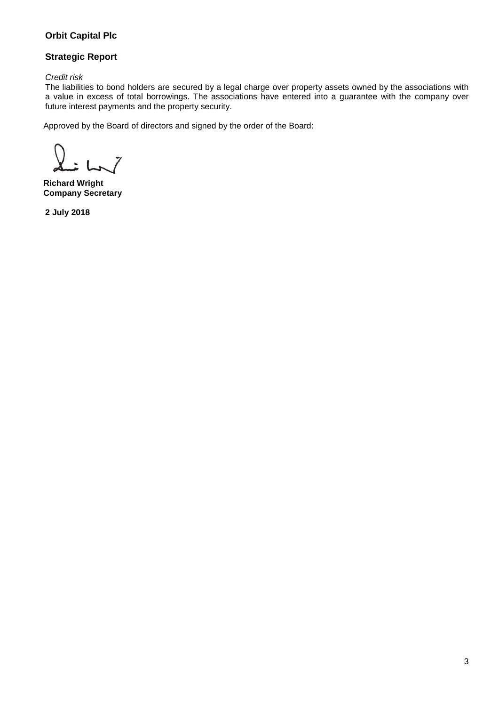# **Strategic Report**

*Credit risk*

The liabilities to bond holders are secured by a legal charge over property assets owned by the associations with a value in excess of total borrowings. The associations have entered into a guarantee with the company over future interest payments and the property security.

Approved by the Board of directors and signed by the order of the Board:

**Richard Wright Company Secretary**

**2 July 2018**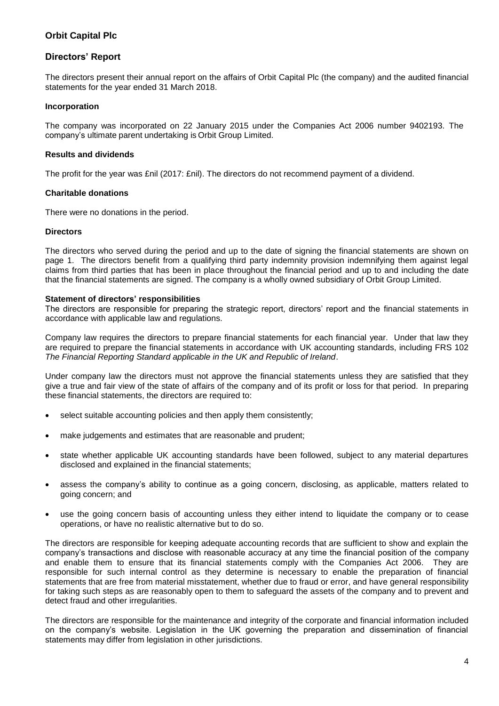## **Directors' Report**

The directors present their annual report on the affairs of Orbit Capital Plc (the company) and the audited financial statements for the year ended 31 March 2018.

## **Incorporation**

The company was incorporated on 22 January 2015 under the Companies Act 2006 number 9402193. The company's ultimate parent undertaking is Orbit Group Limited.

## **Results and dividends**

The profit for the year was £nil (2017: £nil). The directors do not recommend payment of a dividend.

## **Charitable donations**

There were no donations in the period.

#### **Directors**

The directors who served during the period and up to the date of signing the financial statements are shown on page 1. The directors benefit from a qualifying third party indemnity provision indemnifying them against legal claims from third parties that has been in place throughout the financial period and up to and including the date that the financial statements are signed. The company is a wholly owned subsidiary of Orbit Group Limited.

#### **Statement of directors' responsibilities**

The directors are responsible for preparing the strategic report, directors' report and the financial statements in accordance with applicable law and regulations.

Company law requires the directors to prepare financial statements for each financial year. Under that law they are required to prepare the financial statements in accordance with UK accounting standards, including FRS 102 *The Financial Reporting Standard applicable in the UK and Republic of Ireland*.

Under company law the directors must not approve the financial statements unless they are satisfied that they give a true and fair view of the state of affairs of the company and of its profit or loss for that period. In preparing these financial statements, the directors are required to:

- select suitable accounting policies and then apply them consistently;
- make judgements and estimates that are reasonable and prudent;
- state whether applicable UK accounting standards have been followed, subject to any material departures disclosed and explained in the financial statements;
- assess the company's ability to continue as a going concern, disclosing, as applicable, matters related to going concern; and
- use the going concern basis of accounting unless they either intend to liquidate the company or to cease operations, or have no realistic alternative but to do so.

The directors are responsible for keeping adequate accounting records that are sufficient to show and explain the company's transactions and disclose with reasonable accuracy at any time the financial position of the company and enable them to ensure that its financial statements comply with the Companies Act 2006. They are responsible for such internal control as they determine is necessary to enable the preparation of financial statements that are free from material misstatement, whether due to fraud or error, and have general responsibility for taking such steps as are reasonably open to them to safeguard the assets of the company and to prevent and detect fraud and other irregularities.

The directors are responsible for the maintenance and integrity of the corporate and financial information included on the company's website. Legislation in the UK governing the preparation and dissemination of financial statements may differ from legislation in other jurisdictions.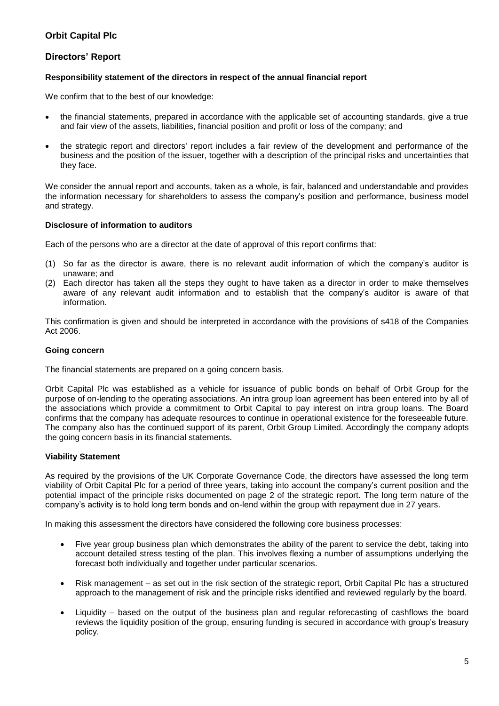## **Directors' Report**

## **Responsibility statement of the directors in respect of the annual financial report**

We confirm that to the best of our knowledge:

- the financial statements, prepared in accordance with the applicable set of accounting standards, give a true and fair view of the assets, liabilities, financial position and profit or loss of the company; and
- the strategic report and directors' report includes a fair review of the development and performance of the business and the position of the issuer, together with a description of the principal risks and uncertainties that they face.

We consider the annual report and accounts, taken as a whole, is fair, balanced and understandable and provides the information necessary for shareholders to assess the company's position and performance, business model and strategy.

## **Disclosure of information to auditors**

Each of the persons who are a director at the date of approval of this report confirms that:

- (1) So far as the director is aware, there is no relevant audit information of which the company's auditor is unaware; and
- (2) Each director has taken all the steps they ought to have taken as a director in order to make themselves aware of any relevant audit information and to establish that the company's auditor is aware of that information.

This confirmation is given and should be interpreted in accordance with the provisions of s418 of the Companies Act 2006.

### **Going concern**

The financial statements are prepared on a going concern basis.

Orbit Capital Plc was established as a vehicle for issuance of public bonds on behalf of Orbit Group for the purpose of on-lending to the operating associations. An intra group loan agreement has been entered into by all of the associations which provide a commitment to Orbit Capital to pay interest on intra group loans. The Board confirms that the company has adequate resources to continue in operational existence for the foreseeable future. The company also has the continued support of its parent, Orbit Group Limited. Accordingly the company adopts the going concern basis in its financial statements.

## **Viability Statement**

As required by the provisions of the UK Corporate Governance Code, the directors have assessed the long term viability of Orbit Capital Plc for a period of three years, taking into account the company's current position and the potential impact of the principle risks documented on page 2 of the strategic report. The long term nature of the company's activity is to hold long term bonds and on-lend within the group with repayment due in 27 years.

In making this assessment the directors have considered the following core business processes:

- Five year group business plan which demonstrates the ability of the parent to service the debt, taking into account detailed stress testing of the plan. This involves flexing a number of assumptions underlying the forecast both individually and together under particular scenarios.
- Risk management as set out in the risk section of the strategic report, Orbit Capital Plc has a structured approach to the management of risk and the principle risks identified and reviewed regularly by the board.
- Liquidity based on the output of the business plan and regular reforecasting of cashflows the board reviews the liquidity position of the group, ensuring funding is secured in accordance with group's treasury policy.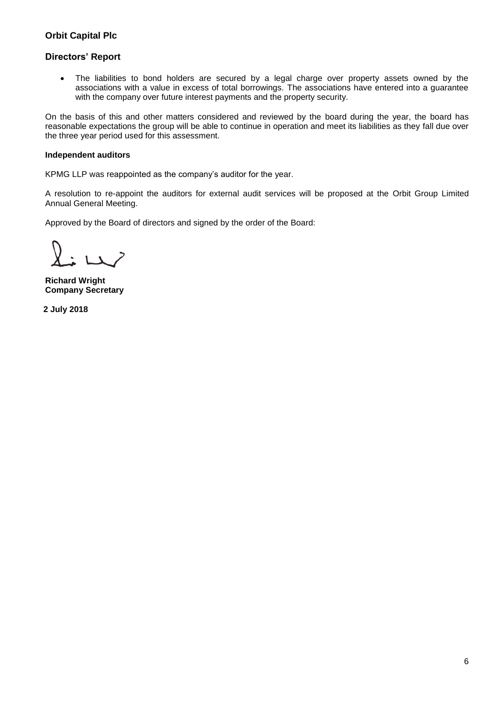# **Directors' Report**

• The liabilities to bond holders are secured by a legal charge over property assets owned by the associations with a value in excess of total borrowings. The associations have entered into a guarantee with the company over future interest payments and the property security.

On the basis of this and other matters considered and reviewed by the board during the year, the board has reasonable expectations the group will be able to continue in operation and meet its liabilities as they fall due over the three year period used for this assessment.

## **Independent auditors**

KPMG LLP was reappointed as the company's auditor for the year.

A resolution to re-appoint the auditors for external audit services will be proposed at the Orbit Group Limited Annual General Meeting.

Approved by the Board of directors and signed by the order of the Board:

**Richard Wright Company Secretary**

**2 July 2018**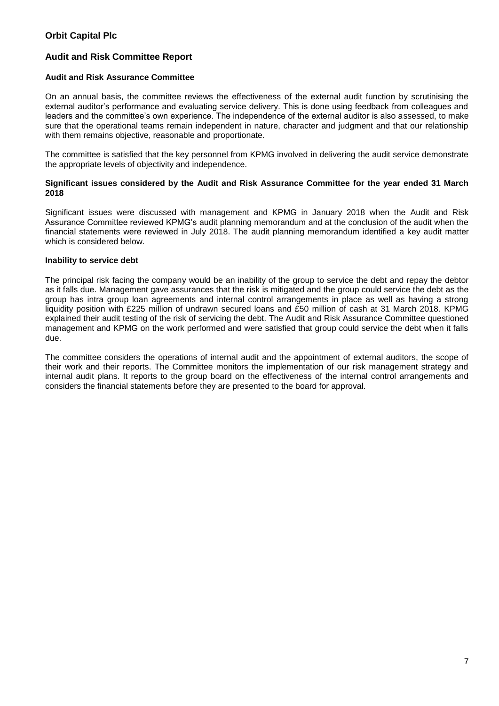## **Audit and Risk Committee Report**

#### **Audit and Risk Assurance Committee**

On an annual basis, the committee reviews the effectiveness of the external audit function by scrutinising the external auditor's performance and evaluating service delivery. This is done using feedback from colleagues and leaders and the committee's own experience. The independence of the external auditor is also assessed, to make sure that the operational teams remain independent in nature, character and judgment and that our relationship with them remains objective, reasonable and proportionate.

The committee is satisfied that the key personnel from KPMG involved in delivering the audit service demonstrate the appropriate levels of objectivity and independence.

## **Significant issues considered by the Audit and Risk Assurance Committee for the year ended 31 March 2018**

Significant issues were discussed with management and KPMG in January 2018 when the Audit and Risk Assurance Committee reviewed KPMG's audit planning memorandum and at the conclusion of the audit when the financial statements were reviewed in July 2018. The audit planning memorandum identified a key audit matter which is considered below.

## **Inability to service debt**

The principal risk facing the company would be an inability of the group to service the debt and repay the debtor as it falls due. Management gave assurances that the risk is mitigated and the group could service the debt as the group has intra group loan agreements and internal control arrangements in place as well as having a strong liquidity position with £225 million of undrawn secured loans and £50 million of cash at 31 March 2018. KPMG explained their audit testing of the risk of servicing the debt. The Audit and Risk Assurance Committee questioned management and KPMG on the work performed and were satisfied that group could service the debt when it falls due.

The committee considers the operations of internal audit and the appointment of external auditors, the scope of their work and their reports. The Committee monitors the implementation of our risk management strategy and internal audit plans. It reports to the group board on the effectiveness of the internal control arrangements and considers the financial statements before they are presented to the board for approval.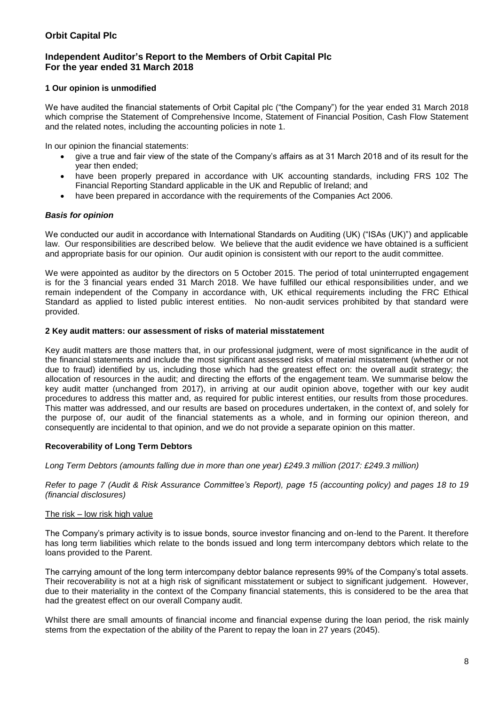## **Independent Auditor's Report to the Members of Orbit Capital Plc For the year ended 31 March 2018**

## **1 Our opinion is unmodified**

We have audited the financial statements of Orbit Capital plc ("the Company") for the year ended 31 March 2018 which comprise the Statement of Comprehensive Income, Statement of Financial Position, Cash Flow Statement and the related notes, including the accounting policies in note 1.

In our opinion the financial statements:

- give a true and fair view of the state of the Company's affairs as at 31 March 2018 and of its result for the year then ended;
- have been properly prepared in accordance with UK accounting standards, including FRS 102 The Financial Reporting Standard applicable in the UK and Republic of Ireland; and
- have been prepared in accordance with the requirements of the Companies Act 2006.

## *Basis for opinion*

We conducted our audit in accordance with International Standards on Auditing (UK) ("ISAs (UK)") and applicable law. Our responsibilities are described below. We believe that the audit evidence we have obtained is a sufficient and appropriate basis for our opinion. Our audit opinion is consistent with our report to the audit committee.

We were appointed as auditor by the directors on 5 October 2015. The period of total uninterrupted engagement is for the 3 financial years ended 31 March 2018. We have fulfilled our ethical responsibilities under, and we remain independent of the Company in accordance with, UK ethical requirements including the FRC Ethical Standard as applied to listed public interest entities. No non-audit services prohibited by that standard were provided.

#### **2 Key audit matters: our assessment of risks of material misstatement**

Key audit matters are those matters that, in our professional judgment, were of most significance in the audit of the financial statements and include the most significant assessed risks of material misstatement (whether or not due to fraud) identified by us, including those which had the greatest effect on: the overall audit strategy; the allocation of resources in the audit; and directing the efforts of the engagement team. We summarise below the key audit matter (unchanged from 2017), in arriving at our audit opinion above, together with our key audit procedures to address this matter and, as required for public interest entities, our results from those procedures. This matter was addressed, and our results are based on procedures undertaken, in the context of, and solely for the purpose of, our audit of the financial statements as a whole, and in forming our opinion thereon, and consequently are incidental to that opinion, and we do not provide a separate opinion on this matter.

#### **Recoverability of Long Term Debtors**

*Long Term Debtors (amounts falling due in more than one year) £249.3 million (2017: £249.3 million)*

*Refer to page 7 (Audit & Risk Assurance Committee's Report), page 15 (accounting policy) and pages 18 to 19 (financial disclosures)*

#### The risk – low risk high value

The Company's primary activity is to issue bonds, source investor financing and on-lend to the Parent. It therefore has long term liabilities which relate to the bonds issued and long term intercompany debtors which relate to the loans provided to the Parent.

The carrying amount of the long term intercompany debtor balance represents 99% of the Company's total assets. Their recoverability is not at a high risk of significant misstatement or subject to significant judgement. However, due to their materiality in the context of the Company financial statements, this is considered to be the area that had the greatest effect on our overall Company audit.

Whilst there are small amounts of financial income and financial expense during the loan period, the risk mainly stems from the expectation of the ability of the Parent to repay the loan in 27 years (2045).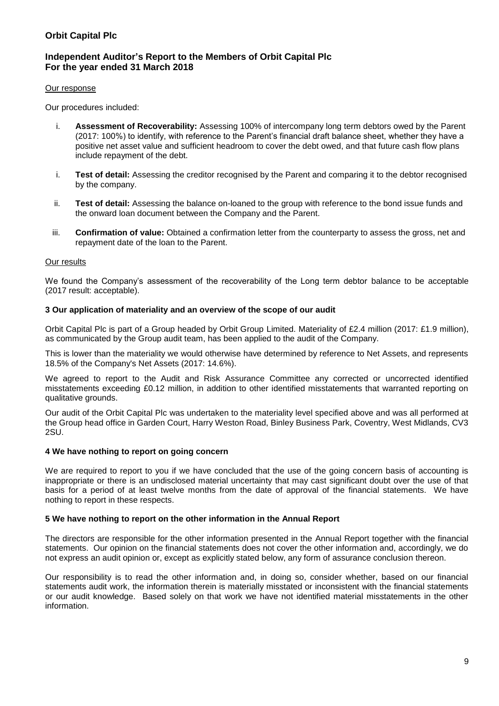## **Independent Auditor's Report to the Members of Orbit Capital Plc For the year ended 31 March 2018**

#### Our response

Our procedures included:

- i. **Assessment of Recoverability:** Assessing 100% of intercompany long term debtors owed by the Parent (2017: 100%) to identify, with reference to the Parent's financial draft balance sheet, whether they have a positive net asset value and sufficient headroom to cover the debt owed, and that future cash flow plans include repayment of the debt.
- i. **Test of detail:** Assessing the creditor recognised by the Parent and comparing it to the debtor recognised by the company.
- ii. **Test of detail:** Assessing the balance on-loaned to the group with reference to the bond issue funds and the onward loan document between the Company and the Parent.
- iii. **Confirmation of value:** Obtained a confirmation letter from the counterparty to assess the gross, net and repayment date of the loan to the Parent.

## Our results

We found the Company's assessment of the recoverability of the Long term debtor balance to be acceptable (2017 result: acceptable).

## **3 Our application of materiality and an overview of the scope of our audit**

Orbit Capital Plc is part of a Group headed by Orbit Group Limited. Materiality of £2.4 million (2017: £1.9 million), as communicated by the Group audit team, has been applied to the audit of the Company.

This is lower than the materiality we would otherwise have determined by reference to Net Assets, and represents 18.5% of the Company's Net Assets (2017: 14.6%).

We agreed to report to the Audit and Risk Assurance Committee any corrected or uncorrected identified misstatements exceeding £0.12 million, in addition to other identified misstatements that warranted reporting on qualitative grounds.

Our audit of the Orbit Capital Plc was undertaken to the materiality level specified above and was all performed at the Group head office in Garden Court, Harry Weston Road, Binley Business Park, Coventry, West Midlands, CV3 2SU.

## **4 We have nothing to report on going concern**

We are required to report to you if we have concluded that the use of the going concern basis of accounting is inappropriate or there is an undisclosed material uncertainty that may cast significant doubt over the use of that basis for a period of at least twelve months from the date of approval of the financial statements. We have nothing to report in these respects.

## **5 We have nothing to report on the other information in the Annual Report**

The directors are responsible for the other information presented in the Annual Report together with the financial statements. Our opinion on the financial statements does not cover the other information and, accordingly, we do not express an audit opinion or, except as explicitly stated below, any form of assurance conclusion thereon.

Our responsibility is to read the other information and, in doing so, consider whether, based on our financial statements audit work, the information therein is materially misstated or inconsistent with the financial statements or our audit knowledge. Based solely on that work we have not identified material misstatements in the other information.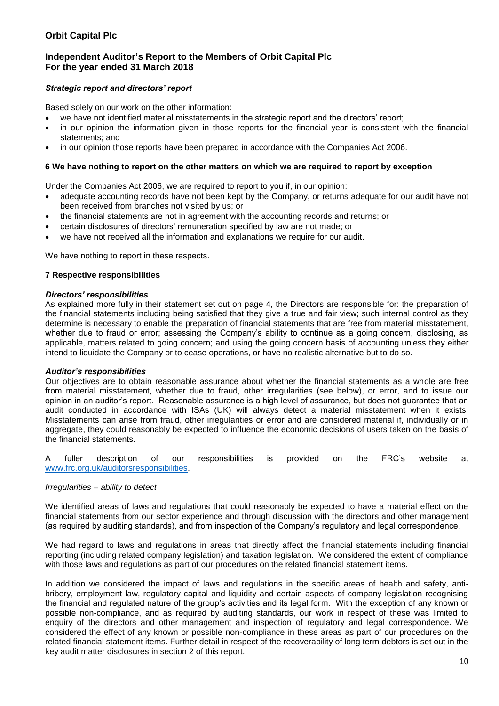## **Independent Auditor's Report to the Members of Orbit Capital Plc For the year ended 31 March 2018**

## *Strategic report and directors' report*

Based solely on our work on the other information:

- we have not identified material misstatements in the strategic report and the directors' report;
- in our opinion the information given in those reports for the financial year is consistent with the financial statements; and
- in our opinion those reports have been prepared in accordance with the Companies Act 2006.

### **6 We have nothing to report on the other matters on which we are required to report by exception**

Under the Companies Act 2006, we are required to report to you if, in our opinion:

- adequate accounting records have not been kept by the Company, or returns adequate for our audit have not been received from branches not visited by us; or
- the financial statements are not in agreement with the accounting records and returns; or
- certain disclosures of directors' remuneration specified by law are not made; or
- we have not received all the information and explanations we require for our audit.

We have nothing to report in these respects.

## **7 Respective responsibilities**

#### *Directors' responsibilities*

As explained more fully in their statement set out on page 4, the Directors are responsible for: the preparation of the financial statements including being satisfied that they give a true and fair view; such internal control as they determine is necessary to enable the preparation of financial statements that are free from material misstatement, whether due to fraud or error; assessing the Company's ability to continue as a going concern, disclosing, as applicable, matters related to going concern; and using the going concern basis of accounting unless they either intend to liquidate the Company or to cease operations, or have no realistic alternative but to do so.

#### *Auditor's responsibilities*

Our objectives are to obtain reasonable assurance about whether the financial statements as a whole are free from material misstatement, whether due to fraud, other irregularities (see below), or error, and to issue our opinion in an auditor's report. Reasonable assurance is a high level of assurance, but does not guarantee that an audit conducted in accordance with ISAs (UK) will always detect a material misstatement when it exists. Misstatements can arise from fraud, other irregularities or error and are considered material if, individually or in aggregate, they could reasonably be expected to influence the economic decisions of users taken on the basis of the financial statements.

A fuller description of our responsibilities is provided on the FRC's website at [www.frc.org.uk/auditorsresponsibilities.](http://www.frc.org.uk/auditorsresponsibilities)

## *Irregularities – ability to detect*

We identified areas of laws and regulations that could reasonably be expected to have a material effect on the financial statements from our sector experience and through discussion with the directors and other management (as required by auditing standards), and from inspection of the Company's regulatory and legal correspondence.

We had regard to laws and regulations in areas that directly affect the financial statements including financial reporting (including related company legislation) and taxation legislation. We considered the extent of compliance with those laws and regulations as part of our procedures on the related financial statement items.

In addition we considered the impact of laws and regulations in the specific areas of health and safety, antibribery, employment law, regulatory capital and liquidity and certain aspects of company legislation recognising the financial and regulated nature of the group's activities and its legal form. With the exception of any known or possible non-compliance, and as required by auditing standards, our work in respect of these was limited to enquiry of the directors and other management and inspection of regulatory and legal correspondence. We considered the effect of any known or possible non-compliance in these areas as part of our procedures on the related financial statement items. Further detail in respect of the recoverability of long term debtors is set out in the key audit matter disclosures in section 2 of this report.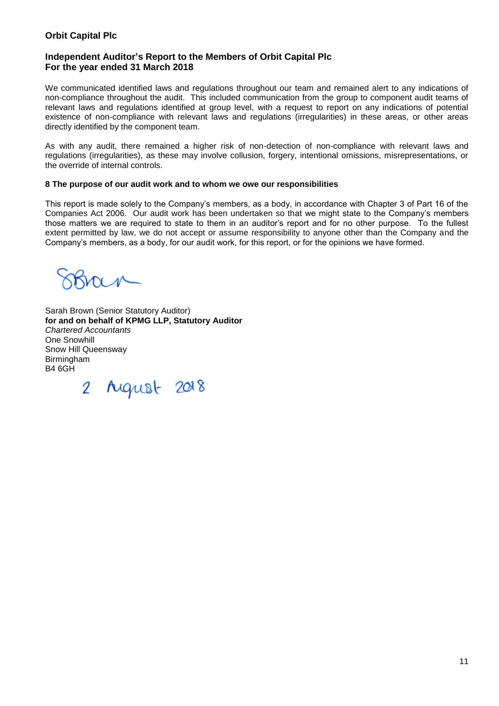## **Independent Auditor's Report to the Members of Orbit Capital Plc For the year ended 31 March 2018**

We communicated identified laws and regulations throughout our team and remained alert to any indications of non-compliance throughout the audit. This included communication from the group to component audit teams of relevant laws and regulations identified at group level, with a request to report on any indications of potential existence of non-compliance with relevant laws and regulations (irregularities) in these areas, or other areas directly identified by the component team.

As with any audit, there remained a higher risk of non-detection of non-compliance with relevant laws and regulations (irregularities), as these may involve collusion, forgery, intentional omissions, misrepresentations, or the override of internal controls.

#### **8 The purpose of our audit work and to whom we owe our responsibilities**

This report is made solely to the Company's members, as a body, in accordance with Chapter 3 of Part 16 of the Companies Act 2006. Our audit work has been undertaken so that we might state to the Company's members those matters we are required to state to them in an auditor's report and for no other purpose. To the fullest extent permitted by law, we do not accept or assume responsibility to anyone other than the Company and the Company's members, as a body, for our audit work, for this report, or for the opinions we have formed.

Sarah Brown (Senior Statutory Auditor) **for and on behalf of KPMG LLP, Statutory Auditor**  *Chartered Accountants*  One Snowhill Snow Hill Queensway Birmingham B4 6GH

2 August 2018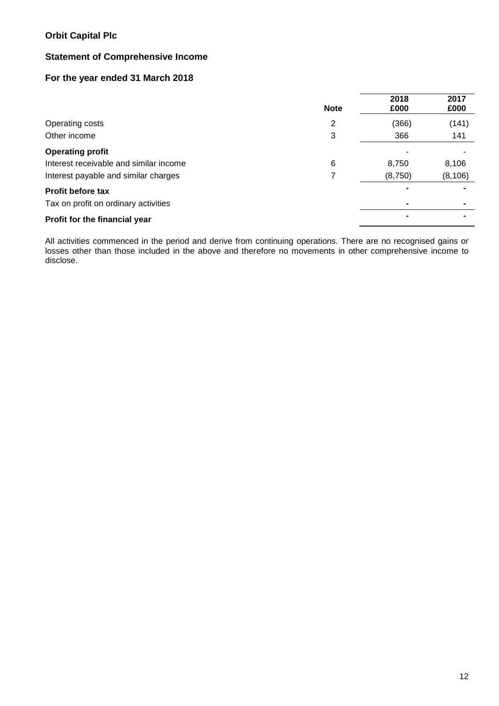# **Statement of Comprehensive Income**

# **For the year ended 31 March 2018**

|                                        | <b>Note</b> | 2018<br>£000 | 2017<br>£000 |
|----------------------------------------|-------------|--------------|--------------|
| Operating costs                        | 2           | (366)        | (141)        |
| Other income                           | 3           | 366          | 141          |
| <b>Operating profit</b>                |             |              |              |
| Interest receivable and similar income | 6           | 8,750        | 8,106        |
| Interest payable and similar charges   |             | (8,750)      | (8, 106)     |
| <b>Profit before tax</b>               |             |              |              |
| Tax on profit on ordinary activities   |             |              |              |
| Profit for the financial year          |             |              |              |

All activities commenced in the period and derive from continuing operations. There are no recognised gains or losses other than those included in the above and therefore no movements in other comprehensive income to disclose.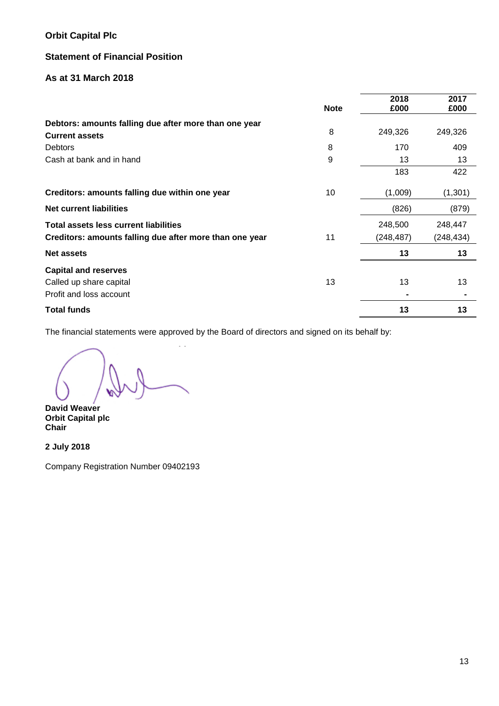# **Statement of Financial Position**

## **As at 31 March 2018**

|                                                                                | <b>Note</b> | 2018<br>£000 | 2017<br>£000 |
|--------------------------------------------------------------------------------|-------------|--------------|--------------|
| Debtors: amounts falling due after more than one year<br><b>Current assets</b> | 8           | 249,326      | 249,326      |
| <b>Debtors</b>                                                                 | 8           | 170          | 409          |
| Cash at bank and in hand                                                       | 9           | 13           | 13           |
|                                                                                |             | 183          | 422          |
| Creditors: amounts falling due within one year                                 | 10          | (1,009)      | (1,301)      |
| <b>Net current liabilities</b>                                                 |             | (826)        | (879)        |
| <b>Total assets less current liabilities</b>                                   |             | 248,500      | 248,447      |
| Creditors: amounts falling due after more than one year                        | 11          | (248, 487)   | (248, 434)   |
| <b>Net assets</b>                                                              |             | 13           | 13           |
| <b>Capital and reserves</b>                                                    |             |              |              |
| Called up share capital                                                        | 13          | 13           | 13           |
| Profit and loss account                                                        |             |              |              |
| <b>Total funds</b>                                                             |             | 13           | 13           |

The financial statements were approved by the Board of directors and signed on its behalf by:

 $\mathbb{R}^2$ 

**David Weaver Orbit Capital plc Chair**

**2 July 2018**

Company Registration Number 09402193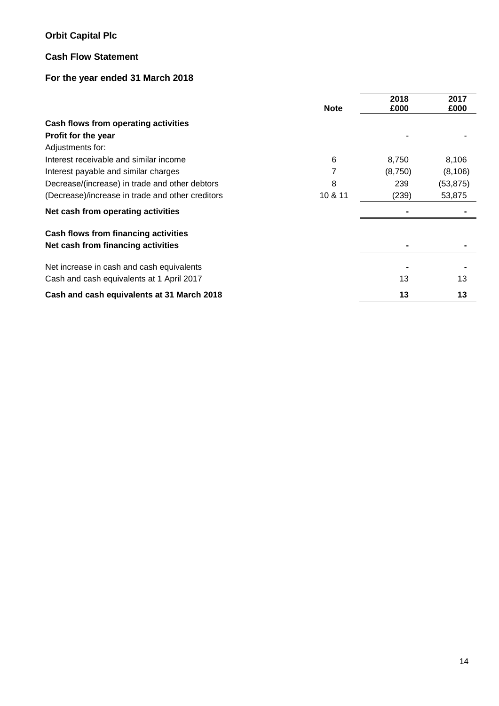# **Cash Flow Statement**

# **For the year ended 31 March 2018**

|                                                  | <b>Note</b> | 2018<br>£000 | 2017<br>£000 |
|--------------------------------------------------|-------------|--------------|--------------|
| Cash flows from operating activities             |             |              |              |
| Profit for the year                              |             |              |              |
| Adjustments for:                                 |             |              |              |
| Interest receivable and similar income           | 6           | 8,750        | 8,106        |
| Interest payable and similar charges             |             | (8,750)      | (8, 106)     |
| Decrease/(increase) in trade and other debtors   | 8           | 239          | (53, 875)    |
| (Decrease)/increase in trade and other creditors | 10 & 11     | (239)        | 53,875       |
| Net cash from operating activities               |             |              |              |
| Cash flows from financing activities             |             |              |              |
| Net cash from financing activities               |             |              |              |
| Net increase in cash and cash equivalents        |             |              |              |
| Cash and cash equivalents at 1 April 2017        |             | 13           | 13           |
| Cash and cash equivalents at 31 March 2018       |             | 13           | 13           |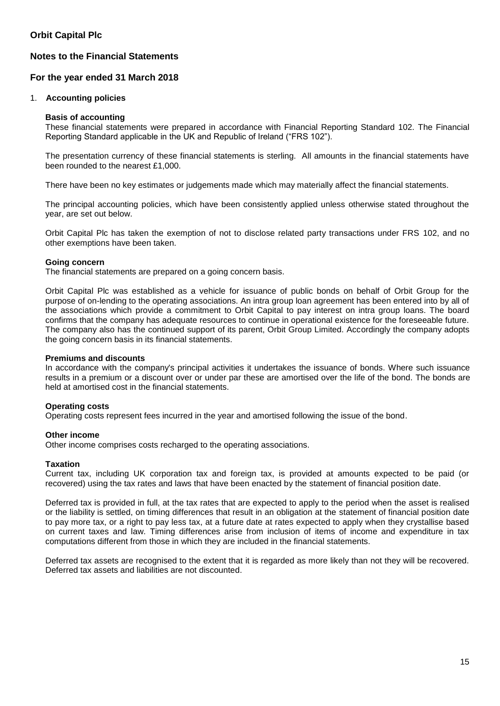## **Notes to the Financial Statements**

## **For the year ended 31 March 2018**

### 1. **Accounting policies**

#### **Basis of accounting**

These financial statements were prepared in accordance with Financial Reporting Standard 102. The Financial Reporting Standard applicable in the UK and Republic of Ireland ("FRS 102").

The presentation currency of these financial statements is sterling. All amounts in the financial statements have been rounded to the nearest £1,000.

There have been no key estimates or judgements made which may materially affect the financial statements.

The principal accounting policies, which have been consistently applied unless otherwise stated throughout the year, are set out below.

Orbit Capital Plc has taken the exemption of not to disclose related party transactions under FRS 102, and no other exemptions have been taken.

## **Going concern**

The financial statements are prepared on a going concern basis.

Orbit Capital Plc was established as a vehicle for issuance of public bonds on behalf of Orbit Group for the purpose of on-lending to the operating associations. An intra group loan agreement has been entered into by all of the associations which provide a commitment to Orbit Capital to pay interest on intra group loans. The board confirms that the company has adequate resources to continue in operational existence for the foreseeable future. The company also has the continued support of its parent, Orbit Group Limited. Accordingly the company adopts the going concern basis in its financial statements.

## **Premiums and discounts**

In accordance with the company's principal activities it undertakes the issuance of bonds. Where such issuance results in a premium or a discount over or under par these are amortised over the life of the bond. The bonds are held at amortised cost in the financial statements.

## **Operating costs**

Operating costs represent fees incurred in the year and amortised following the issue of the bond.

#### **Other income**

Other income comprises costs recharged to the operating associations.

#### **Taxation**

Current tax, including UK corporation tax and foreign tax, is provided at amounts expected to be paid (or recovered) using the tax rates and laws that have been enacted by the statement of financial position date.

Deferred tax is provided in full, at the tax rates that are expected to apply to the period when the asset is realised or the liability is settled, on timing differences that result in an obligation at the statement of financial position date to pay more tax, or a right to pay less tax, at a future date at rates expected to apply when they crystallise based on current taxes and law. Timing differences arise from inclusion of items of income and expenditure in tax computations different from those in which they are included in the financial statements.

Deferred tax assets are recognised to the extent that it is regarded as more likely than not they will be recovered. Deferred tax assets and liabilities are not discounted.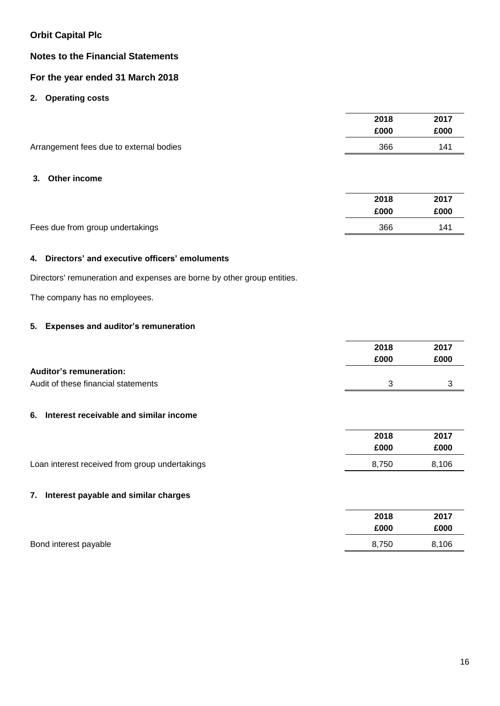## **Notes to the Financial Statements**

# **For the year ended 31 March 2018**

## **2. Operating costs**

| 2017<br>£000 |  |
|--------------|--|
| 141          |  |
|              |  |

## **3. Other income**

|                                  | 2018 | 2017 |
|----------------------------------|------|------|
|                                  | £000 | £000 |
| Fees due from group undertakings | 366  | 141  |

## **4. Directors' and executive officers' emoluments**

Directors' remuneration and expenses are borne by other group entities.

The company has no employees.

# **5. Expenses and auditor's remuneration**

|                                     | 2018 | 2017 |
|-------------------------------------|------|------|
|                                     | £000 | £000 |
| <b>Auditor's remuneration:</b>      |      |      |
| Audit of these financial statements |      |      |
|                                     |      |      |

## **6. Interest receivable and similar income**

|                                                | 2018  | 2017  |
|------------------------------------------------|-------|-------|
|                                                | £000  | £000  |
| Loan interest received from group undertakings | 8.750 | 8.106 |

## **7. Interest payable and similar charges**

|                       | 2018  | 2017  |
|-----------------------|-------|-------|
|                       | £000  | £000  |
| Bond interest payable | 8.750 | 8,106 |
|                       |       |       |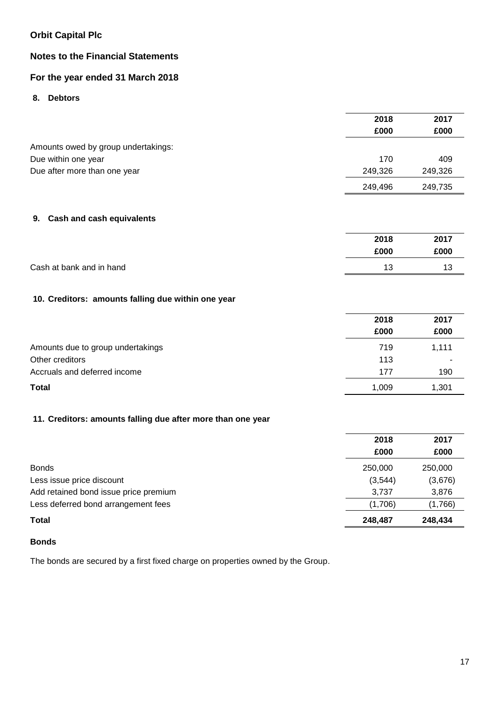# **Notes to the Financial Statements**

# **For the year ended 31 March 2018**

**8. Debtors**

|                                                             | 2018    | 2017    |
|-------------------------------------------------------------|---------|---------|
|                                                             | £000    | £000    |
| Amounts owed by group undertakings:                         |         |         |
| Due within one year                                         | 170     | 409     |
| Due after more than one year                                | 249,326 | 249,326 |
|                                                             | 249,496 | 249,735 |
|                                                             |         |         |
| <b>Cash and cash equivalents</b><br>9.                      |         |         |
|                                                             | 2018    | 2017    |
|                                                             | £000    | £000    |
| Cash at bank and in hand                                    | 13      | 13      |
| 10. Creditors: amounts falling due within one year          |         |         |
|                                                             | 2018    | 2017    |
|                                                             | £000    | £000    |
| Amounts due to group undertakings                           | 719     | 1,111   |
| Other creditors                                             | 113     |         |
| Accruals and deferred income                                | 177     | 190     |
| <b>Total</b>                                                | 1,009   | 1,301   |
|                                                             |         |         |
| 11. Creditors: amounts falling due after more than one year |         |         |
|                                                             | 2018    | 2017    |
|                                                             | £000    | £000    |
|                                                             |         |         |

| <b>Bonds</b>                          | 250,000 | 250,000 |
|---------------------------------------|---------|---------|
| Less issue price discount             | (3.544) | (3,676) |
| Add retained bond issue price premium | 3.737   | 3,876   |
| Less deferred bond arrangement fees   | (1.706) | (1,766) |
| <b>Total</b>                          | 248.487 | 248,434 |

## **Bonds**

The bonds are secured by a first fixed charge on properties owned by the Group.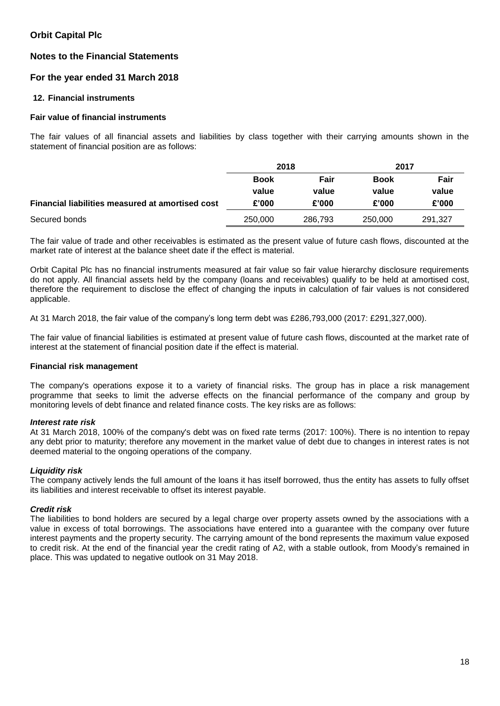## **Notes to the Financial Statements**

## **For the year ended 31 March 2018**

## **12. Financial instruments**

### **Fair value of financial instruments**

The fair values of all financial assets and liabilities by class together with their carrying amounts shown in the statement of financial position are as follows:

|                                                  | 2018        |         | 2017        |         |
|--------------------------------------------------|-------------|---------|-------------|---------|
|                                                  | <b>Book</b> | Fair    | <b>Book</b> | Fair    |
|                                                  | value       | value   | value       | value   |
| Financial liabilities measured at amortised cost | £'000       | £'000   | £'000       | £'000   |
| Secured bonds                                    | 250,000     | 286.793 | 250,000     | 291,327 |

The fair value of trade and other receivables is estimated as the present value of future cash flows, discounted at the market rate of interest at the balance sheet date if the effect is material.

Orbit Capital Plc has no financial instruments measured at fair value so fair value hierarchy disclosure requirements do not apply. All financial assets held by the company (loans and receivables) qualify to be held at amortised cost, therefore the requirement to disclose the effect of changing the inputs in calculation of fair values is not considered applicable.

At 31 March 2018, the fair value of the company's long term debt was £286,793,000 (2017: £291,327,000).

The fair value of financial liabilities is estimated at present value of future cash flows, discounted at the market rate of interest at the statement of financial position date if the effect is material.

#### **Financial risk management**

The company's operations expose it to a variety of financial risks. The group has in place a risk management programme that seeks to limit the adverse effects on the financial performance of the company and group by monitoring levels of debt finance and related finance costs. The key risks are as follows:

#### *Interest rate risk*

At 31 March 2018, 100% of the company's debt was on fixed rate terms (2017: 100%). There is no intention to repay any debt prior to maturity; therefore any movement in the market value of debt due to changes in interest rates is not deemed material to the ongoing operations of the company.

#### *Liquidity risk*

The company actively lends the full amount of the loans it has itself borrowed, thus the entity has assets to fully offset its liabilities and interest receivable to offset its interest payable.

#### *Credit risk*

The liabilities to bond holders are secured by a legal charge over property assets owned by the associations with a value in excess of total borrowings. The associations have entered into a guarantee with the company over future interest payments and the property security. The carrying amount of the bond represents the maximum value exposed to credit risk. At the end of the financial year the credit rating of A2, with a stable outlook, from Moody's remained in place. This was updated to negative outlook on 31 May 2018.